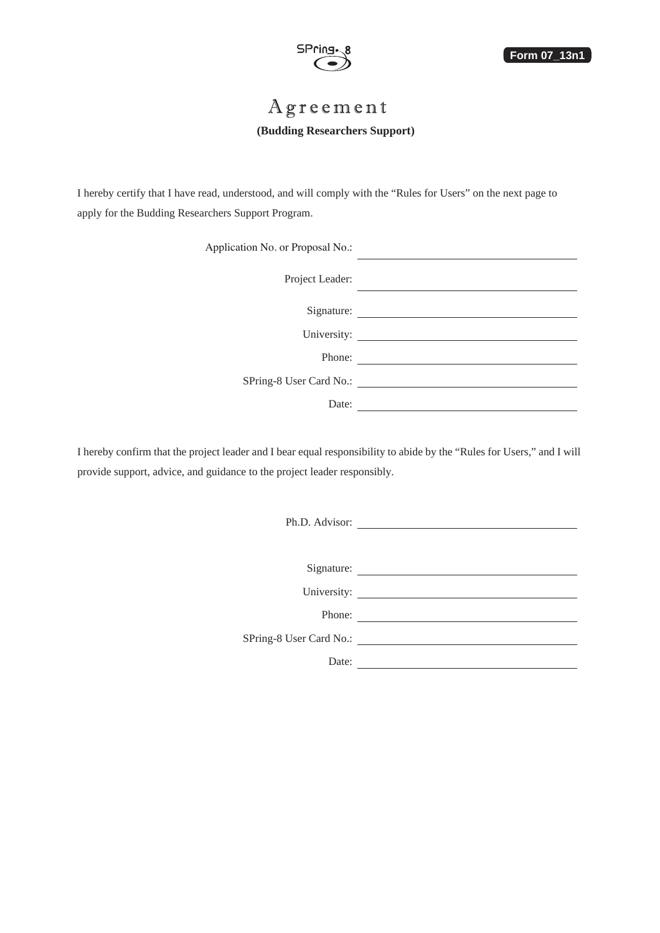

# Agreement

### **(Budding Researchers Support)**

I hereby certify that I have read, understood, and will comply with the "Rules for Users" on the next page to apply for the Budding Researchers Support Program.

|                                                                                 | Application No. or Proposal No.: |
|---------------------------------------------------------------------------------|----------------------------------|
|                                                                                 | Project Leader:                  |
| the contract of the contract of the contract of the contract of the contract of | Signature:                       |
| the control of the control of the control of the control of the control of      | University:                      |
| the control of the control of the control of the control of the                 | Phone:                           |
|                                                                                 | SPring-8 User Card No.:          |
|                                                                                 | Date:                            |

I hereby confirm that the project leader and I bear equal responsibility to abide by the "Rules for Users," and I will provide support, advice, and guidance to the project leader responsibly.

Ph.D. Advisor:

Signature:

University:

Phone:

SPring-8 User Card No.:

Date: